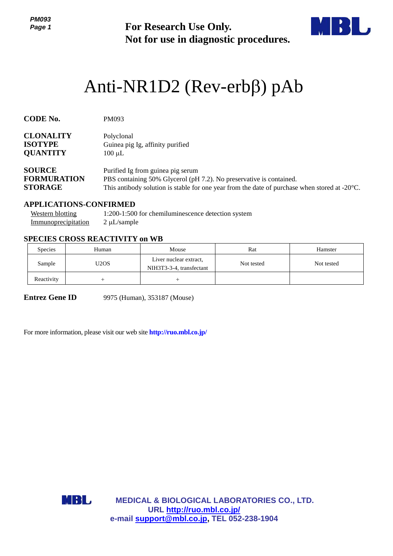**For Research Use Only. Not for use in diagnostic procedures.**



# Anti-NR1D2 (Rev-erbβ) pAb

| <b>CODE No.</b>    | PM093                                                                                                   |
|--------------------|---------------------------------------------------------------------------------------------------------|
| <b>CLONALITY</b>   | Polyclonal                                                                                              |
| <b>ISOTYPE</b>     | Guinea pig Ig, affinity purified                                                                        |
| <b>QUANTITY</b>    | $100 \mu L$                                                                                             |
| <b>SOURCE</b>      | Purified Ig from guinea pig serum                                                                       |
| <b>FORMURATION</b> | PBS containing 50% Glycerol (pH 7.2). No preservative is contained.                                     |
| <b>STORAGE</b>     | This antibody solution is stable for one year from the date of purchase when stored at $-20^{\circ}$ C. |

## **APPLICATIONS-CONFIRMED**

| Western blotting    | 1:200-1:500 for chemiluminescence detection system |
|---------------------|----------------------------------------------------|
| Immunoprecipitation | $2 \mu L$ /sample                                  |

## **SPECIES CROSS REACTIVITY on WB**

| <b>Species</b> | Human | Mouse                                              | Rat        | Hamster    |
|----------------|-------|----------------------------------------------------|------------|------------|
| Sample         | U2OS  | Liver nuclear extract,<br>NIH3T3-3-4, transfectant | Not tested | Not tested |
| Reactivity     |       |                                                    |            |            |

**Entrez Gene ID** 9975 (Human), 353187 (Mouse)

For more information, please visit our web site **<http://ruo.mbl.co.jp/>**

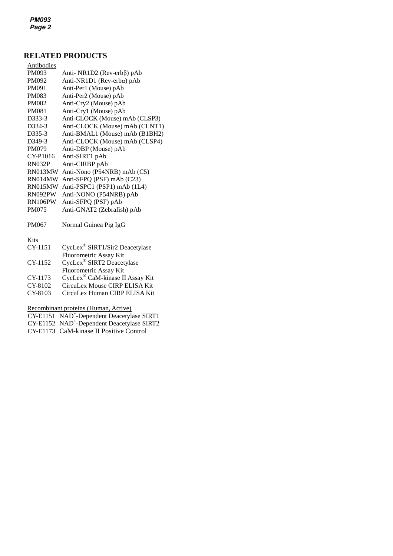## **RELATED PRODUCTS**

| Antibodies    |                                |
|---------------|--------------------------------|
| PM093         | Anti-NR1D2 (Rev-erbβ) pAb      |
| PM092         | Anti-NR1D1 (Rev-erbα) pAb      |
| PM091         | Anti-Per1 (Mouse) pAb          |
| <b>PM083</b>  | Anti-Per2 (Mouse) pAb          |
| <b>PM082</b>  | Anti-Cry2 (Mouse) pAb          |
| <b>PM081</b>  | Anti-Cry1 (Mouse) pAb          |
| D333-3        | Anti-CLOCK (Mouse) mAb (CLSP3) |
| D334-3        | Anti-CLOCK (Mouse) mAb (CLNT1) |
| D335-3        | Anti-BMAL1 (Mouse) mAb (B1BH2) |
| D349-3        | Anti-CLOCK (Mouse) mAb (CLSP4) |
| <b>PM079</b>  | Anti-DBP (Mouse) pAb           |
| CY-P1016      | Anti-SIRT1 pAb                 |
| <b>RN032P</b> | Anti-CIRBP pAb                 |
| RN013MW       | Anti-Nono (P54NRB) mAb (C5)    |
| RN014MW       | Anti-SFPQ (PSF) mAb (C23)      |
| RN015MW       | Anti-PSPC1 (PSP1) mAb (1L4)    |
| RN092PW       | Anti-NONO (P54NRB) pAb         |
| RN106PW       | Anti-SFPQ (PSF) pAb            |
| <b>PM075</b>  | Anti-GNAT2 (Zebrafish) pAb     |
|               |                                |
| PM067         | Normal Guinea Pig IgG          |
|               |                                |

## Kits

| CY-1151 | CycLex <sup>®</sup> SIRT1/Sir2 Deacetylase  |
|---------|---------------------------------------------|
|         | Fluorometric Assay Kit                      |
| CY-1152 | CycLex® SIRT2 Deacetylase                   |
|         | <b>Fluorometric Assay Kit</b>               |
| CY-1173 | CycLex <sup>®</sup> CaM-kinase II Assay Kit |
| CY-8102 | CircuLex Mouse CIRP ELISA Kit               |
| CY-8103 | CircuLex Human CIRP ELISA Kit               |

Recombinant proteins (Human, Active)

- CY-E1151 NAD<sup>+</sup>-Dependent Deacetylase SIRT1
- CY-E1152 NAD<sup>+</sup>-Dependent Deacetylase SIRT2
- CY-E1173 CaM-kinase II Positive Control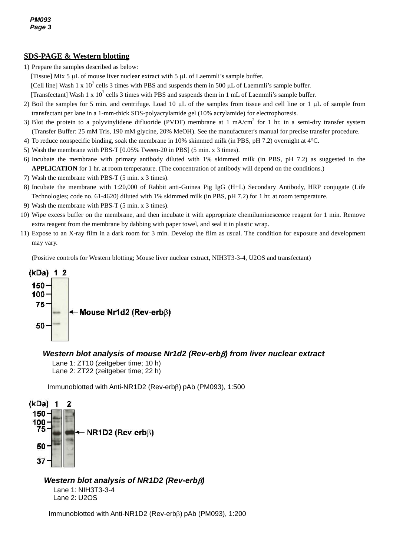## **SDS-PAGE & Western blotting**

- 1) Prepare the samples described as below:
- [Tissue] Mix 5  $\mu$ L of mouse liver nuclear extract with 5  $\mu$ L of Laemmli's sample buffer.
	- [Cell line] Wash 1 x  $10^7$  cells 3 times with PBS and suspends them in 500 µL of Laemmli's sample buffer.

[Transfectant] Wash 1 x  $10^7$  cells 3 times with PBS and suspends them in 1 mL of Laemmli's sample buffer.

- 2) Boil the samples for 5 min. and centrifuge. Load 10  $\mu$ L of the samples from tissue and cell line or 1  $\mu$ L of sample from transfectant per lane in a 1-mm-thick SDS-polyacrylamide gel (10% acrylamide) for electrophoresis.
- 3) Blot the protein to a polyvinylidene difluoride (PVDF) membrane at 1 mA/cm<sup>2</sup> for 1 hr. in a semi-dry transfer system (Transfer Buffer: 25 mM Tris, 190 mM glycine, 20% MeOH). See the manufacturer's manual for precise transfer procedure.
- 4) To reduce nonspecific binding, soak the membrane in 10% skimmed milk (in PBS, pH 7.2) overnight at 4°C.
- 5) Wash the membrane with PBS-T [0.05% Tween-20 in PBS] (5 min. x 3 times).
- 6) Incubate the membrane with primary antibody diluted with 1% skimmed milk (in PBS, pH 7.2) as suggested in the **APPLICATION** for 1 hr. at room temperature. (The concentration of antibody will depend on the conditions.)
- 7) Wash the membrane with PBS-T (5 min. x 3 times).
- 8) Incubate the membrane with 1:20,000 of Rabbit anti-Guinea Pig IgG (H+L) Secondary Antibody, HRP conjugate (Life Technologies; code no. 61-4620) diluted with 1% skimmed milk (in PBS, pH 7.2) for 1 hr. at room temperature.
- 9) Wash the membrane with PBS-T (5 min. x 3 times).
- 10) Wipe excess buffer on the membrane, and then incubate it with appropriate chemiluminescence reagent for 1 min. Remove extra reagent from the membrane by dabbing with paper towel, and seal it in plastic wrap.
- 11) Expose to an X-ray film in a dark room for 3 min. Develop the film as usual. The condition for exposure and development may vary.

(Positive controls for Western blotting; Mouse liver nuclear extract, NIH3T3-3-4, U2OS and transfectant)



#### *Western blot analysis of mouse Nr1d2 (Rev-erb) from liver nuclear extract*

Lane 1: ZT10 (zeitgeber time; 10 h) Lane 2: ZT22 (zeitgeber time; 22 h)

Immunoblotted with Anti-NR1D2 (Rev-erb<sub>B</sub>) pAb (PM093), 1:500



### *Western blot analysis of NR1D2 (Rev-erb)*

Lane 1: NIH3T3-3-4 Lane 2: U2OS

Immunoblotted with Anti-NR1D2 (Rev-erb $\beta$ ) pAb (PM093), 1:200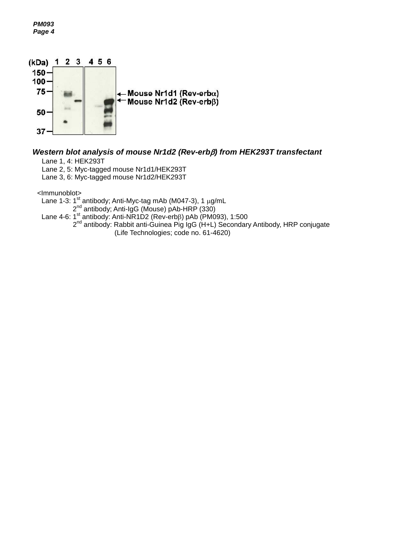*PM093 Page 4*



## *Western blot analysis of mouse Nr1d2 (Rev-erb) from HEK293T transfectant*

Lane 1, 4: HEK293T

Lane 2, 5: Myc-tagged mouse Nr1d1/HEK293T

Lane 3, 6: Myc-tagged mouse Nr1d2/HEK293T

<Immunoblot>

Lane 1-3: 1<sup>st</sup> antibody; Anti-Myc-tag mAb (M047-3), 1 μg/mL 2<sup>nd</sup> antibody; Anti-IgG (Mouse) pAb-HRP (330)

Lane 4-6: 1<sup>st</sup> antibody: Anti-NR1D2 (Rev-erbß) pAb (PM093), 1:500

2<sup>nd</sup> antibody: Rabbit anti-Guinea Pig IgG (H+L) Secondary Antibody, HRP conjugate (Life Technologies; code no. 61-4620)